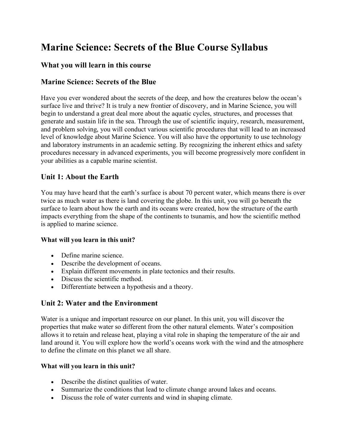# **Marine Science: Secrets of the Blue Course Syllabus**

## **What you will learn in this course**

## **Marine Science: Secrets of the Blue**

Have you ever wondered about the secrets of the deep, and how the creatures below the ocean's surface live and thrive? It is truly a new frontier of discovery, and in Marine Science, you will begin to understand a great deal more about the aquatic cycles, structures, and processes that generate and sustain life in the sea. Through the use of scientific inquiry, research, measurement, and problem solving, you will conduct various scientific procedures that will lead to an increased level of knowledge about Marine Science. You will also have the opportunity to use technology and laboratory instruments in an academic setting. By recognizing the inherent ethics and safety procedures necessary in advanced experiments, you will become progressively more confident in your abilities as a capable marine scientist.

# **Unit 1: About the Earth**

You may have heard that the earth's surface is about 70 percent water, which means there is over twice as much water as there is land covering the globe. In this unit, you will go beneath the surface to learn about how the earth and its oceans were created, how the structure of the earth impacts everything from the shape of the continents to tsunamis, and how the scientific method is applied to marine science.

#### **What will you learn in this unit?**

- Define marine science.
- Describe the development of oceans.
- Explain different movements in plate tectonics and their results.
- Discuss the scientific method.
- Differentiate between a hypothesis and a theory.

## **Unit 2: Water and the Environment**

Water is a unique and important resource on our planet. In this unit, you will discover the properties that make water so different from the other natural elements. Water's composition allows it to retain and release heat, playing a vital role in shaping the temperature of the air and land around it. You will explore how the world's oceans work with the wind and the atmosphere to define the climate on this planet we all share.

#### **What will you learn in this unit?**

- Describe the distinct qualities of water.
- Summarize the conditions that lead to climate change around lakes and oceans.
- Discuss the role of water currents and wind in shaping climate.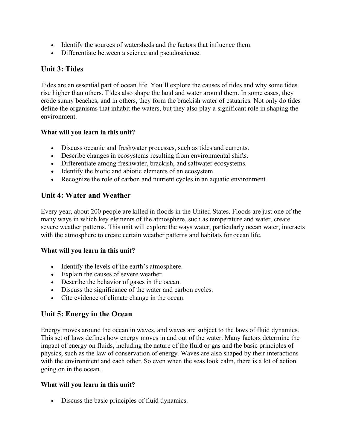- Identify the sources of watersheds and the factors that influence them.
- Differentiate between a science and pseudoscience.

# **Unit 3: Tides**

Tides are an essential part of ocean life. You'll explore the causes of tides and why some tides rise higher than others. Tides also shape the land and water around them. In some cases, they erode sunny beaches, and in others, they form the brackish water of estuaries. Not only do tides define the organisms that inhabit the waters, but they also play a significant role in shaping the environment.

#### **What will you learn in this unit?**

- Discuss oceanic and freshwater processes, such as tides and currents.
- Describe changes in ecosystems resulting from environmental shifts.
- Differentiate among freshwater, brackish, and saltwater ecosystems.
- Identify the biotic and abiotic elements of an ecosystem.
- Recognize the role of carbon and nutrient cycles in an aquatic environment.

# **Unit 4: Water and Weather**

Every year, about 200 people are killed in floods in the United States. Floods are just one of the many ways in which key elements of the atmosphere, such as temperature and water, create severe weather patterns. This unit will explore the ways water, particularly ocean water, interacts with the atmosphere to create certain weather patterns and habitats for ocean life.

#### **What will you learn in this unit?**

- Identify the levels of the earth's atmosphere.
- Explain the causes of severe weather.
- Describe the behavior of gases in the ocean.
- Discuss the significance of the water and carbon cycles.
- Cite evidence of climate change in the ocean.

# **Unit 5: Energy in the Ocean**

Energy moves around the ocean in waves, and waves are subject to the laws of fluid dynamics. This set of laws defines how energy moves in and out of the water. Many factors determine the impact of energy on fluids, including the nature of the fluid or gas and the basic principles of physics, such as the law of conservation of energy. Waves are also shaped by their interactions with the environment and each other. So even when the seas look calm, there is a lot of action going on in the ocean.

#### **What will you learn in this unit?**

• Discuss the basic principles of fluid dynamics.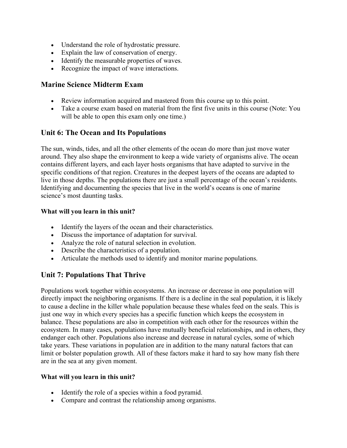- Understand the role of hydrostatic pressure.
- Explain the law of conservation of energy.
- Identify the measurable properties of waves.
- Recognize the impact of wave interactions.

#### **Marine Science Midterm Exam**

- Review information acquired and mastered from this course up to this point.
- Take a course exam based on material from the first five units in this course (Note: You will be able to open this exam only one time.)

#### **Unit 6: The Ocean and Its Populations**

The sun, winds, tides, and all the other elements of the ocean do more than just move water around. They also shape the environment to keep a wide variety of organisms alive. The ocean contains different layers, and each layer hosts organisms that have adapted to survive in the specific conditions of that region. Creatures in the deepest layers of the oceans are adapted to live in those depths. The populations there are just a small percentage of the ocean's residents. Identifying and documenting the species that live in the world's oceans is one of marine science's most daunting tasks.

#### **What will you learn in this unit?**

- Identify the layers of the ocean and their characteristics.
- Discuss the importance of adaptation for survival.
- Analyze the role of natural selection in evolution.
- Describe the characteristics of a population.
- Articulate the methods used to identify and monitor marine populations.

## **Unit 7: Populations That Thrive**

Populations work together within ecosystems. An increase or decrease in one population will directly impact the neighboring organisms. If there is a decline in the seal population, it is likely to cause a decline in the killer whale population because these whales feed on the seals. This is just one way in which every species has a specific function which keeps the ecosystem in balance. These populations are also in competition with each other for the resources within the ecosystem. In many cases, populations have mutually beneficial relationships, and in others, they endanger each other. Populations also increase and decrease in natural cycles, some of which take years. These variations in population are in addition to the many natural factors that can limit or bolster population growth. All of these factors make it hard to say how many fish there are in the sea at any given moment.

#### **What will you learn in this unit?**

- Identify the role of a species within a food pyramid.
- Compare and contrast the relationship among organisms.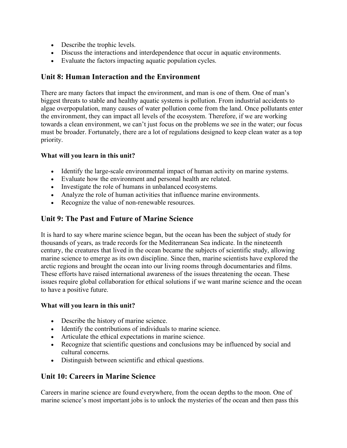- Describe the trophic levels.
- Discuss the interactions and interdependence that occur in aquatic environments.
- Evaluate the factors impacting aquatic population cycles.

## **Unit 8: Human Interaction and the Environment**

There are many factors that impact the environment, and man is one of them. One of man's biggest threats to stable and healthy aquatic systems is pollution. From industrial accidents to algae overpopulation, many causes of water pollution come from the land. Once pollutants enter the environment, they can impact all levels of the ecosystem. Therefore, if we are working towards a clean environment, we can't just focus on the problems we see in the water; our focus must be broader. Fortunately, there are a lot of regulations designed to keep clean water as a top priority.

#### **What will you learn in this unit?**

- Identify the large-scale environmental impact of human activity on marine systems.
- Evaluate how the environment and personal health are related.
- Investigate the role of humans in unbalanced ecosystems.
- Analyze the role of human activities that influence marine environments.
- Recognize the value of non-renewable resources.

# **Unit 9: The Past and Future of Marine Science**

It is hard to say where marine science began, but the ocean has been the subject of study for thousands of years, as trade records for the Mediterranean Sea indicate. In the nineteenth century, the creatures that lived in the ocean became the subjects of scientific study, allowing marine science to emerge as its own discipline. Since then, marine scientists have explored the arctic regions and brought the ocean into our living rooms through documentaries and films. These efforts have raised international awareness of the issues threatening the ocean. These issues require global collaboration for ethical solutions if we want marine science and the ocean to have a positive future.

#### **What will you learn in this unit?**

- Describe the history of marine science.
- Identify the contributions of individuals to marine science.
- Articulate the ethical expectations in marine science.
- Recognize that scientific questions and conclusions may be influenced by social and cultural concerns.
- Distinguish between scientific and ethical questions.

## **Unit 10: Careers in Marine Science**

Careers in marine science are found everywhere, from the ocean depths to the moon. One of marine science's most important jobs is to unlock the mysteries of the ocean and then pass this